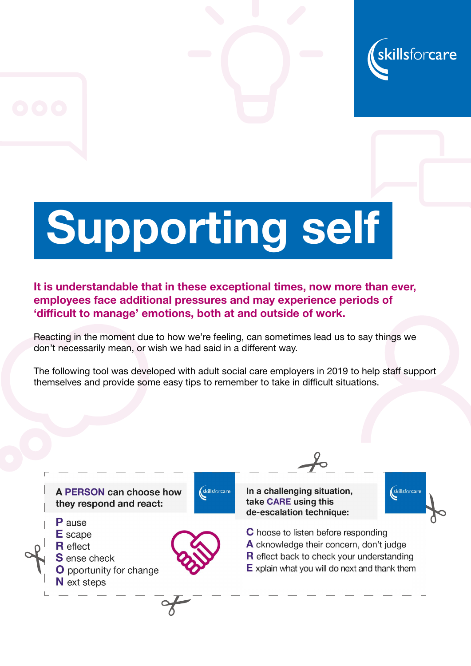

## Supporting self

It is understandable that in these exceptional times, now more than ever, employees face additional pressures and may experience periods of 'difficult to manage' emotions, both at and outside of work.

Reacting in the moment due to how we're feeling, can sometimes lead us to say things we don't necessarily mean, or wish we had said in a different way.

The following tool was developed with adult social care employers in 2019 to help staff support themselves and provide some easy tips to remember to take in difficult situations.

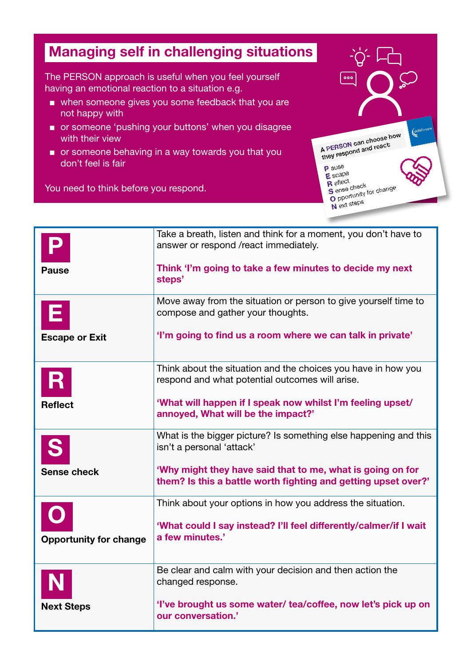## Managing self in challenging situations

The PERSON approach is useful when you feel yourself having an emotional reaction to a situation e.g.

- when someone gives you some feedback that you are not happy with
- or someone 'pushing your buttons' when you disagree with their view
- or someone behaving in a way towards you that you don't feel is fair

You need to think before you respond.



|                               | Take a breath, listen and think for a moment, you don't have to<br>answer or respond /react immediately.                     |
|-------------------------------|------------------------------------------------------------------------------------------------------------------------------|
| <b>Pause</b>                  | Think 'I'm going to take a few minutes to decide my next<br>steps'                                                           |
|                               | Move away from the situation or person to give yourself time to<br>compose and gather your thoughts.                         |
| <b>Escape or Exit</b>         | 'I'm going to find us a room where we can talk in private'                                                                   |
|                               | Think about the situation and the choices you have in how you<br>respond and what potential outcomes will arise.             |
| <b>Reflect</b>                | 'What will happen if I speak now whilst I'm feeling upset/<br>annoyed, What will be the impact?'                             |
|                               | What is the bigger picture? Is something else happening and this<br>isn't a personal 'attack'                                |
| <b>Sense check</b>            | 'Why might they have said that to me, what is going on for<br>them? Is this a battle worth fighting and getting upset over?' |
|                               | Think about your options in how you address the situation.                                                                   |
| <b>Opportunity for change</b> | 'What could I say instead? I'll feel differently/calmer/if I wait<br>a few minutes.'                                         |
|                               | Be clear and calm with your decision and then action the<br>changed response.                                                |
| <b>Next Steps</b>             | 'I've brought us some water/ tea/coffee, now let's pick up on<br>our conversation.'                                          |